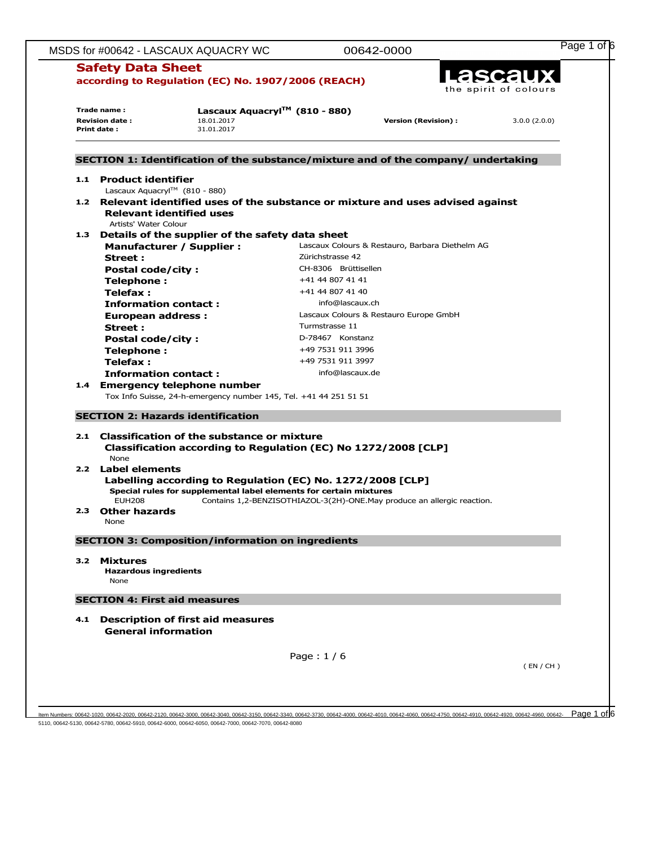|              | <b>Safety Data Sheet</b>                                |                                                                    | 00642-0000                       |                                                                                    |              |
|--------------|---------------------------------------------------------|--------------------------------------------------------------------|----------------------------------|------------------------------------------------------------------------------------|--------------|
|              |                                                         |                                                                    |                                  |                                                                                    |              |
|              | according to Regulation (EC) No. 1907/2006 (REACH)      |                                                                    | Lascaux<br>the spirit of colours |                                                                                    |              |
|              | Lascaux Aquacryl™ (810 - 880)<br>Trade name:            |                                                                    |                                  |                                                                                    |              |
|              | <b>Revision date:</b>                                   | 18.01.2017                                                         |                                  | <b>Version (Revision):</b>                                                         | 3.0.0(2.0.0) |
| Print date : |                                                         | 31.01.2017                                                         |                                  |                                                                                    |              |
|              |                                                         |                                                                    |                                  | SECTION 1: Identification of the substance/mixture and of the company/ undertaking |              |
|              |                                                         |                                                                    |                                  |                                                                                    |              |
|              | 1.1 Product identifier<br>Lascaux Aquacryl™ (810 - 880) |                                                                    |                                  |                                                                                    |              |
|              |                                                         |                                                                    |                                  | 1.2 Relevant identified uses of the substance or mixture and uses advised against  |              |
|              | <b>Relevant identified uses</b>                         |                                                                    |                                  |                                                                                    |              |
|              | Artists' Water Colour                                   |                                                                    |                                  |                                                                                    |              |
|              |                                                         | 1.3 Details of the supplier of the safety data sheet               |                                  |                                                                                    |              |
|              | <b>Manufacturer / Supplier:</b>                         |                                                                    |                                  | Lascaux Colours & Restauro, Barbara Diethelm AG                                    |              |
|              | Street :                                                |                                                                    | Zürichstrasse 42                 |                                                                                    |              |
|              | <b>Postal code/city:</b>                                |                                                                    | CH-8306 Brüttisellen             |                                                                                    |              |
|              | Telephone:                                              |                                                                    | +41 44 807 41 41                 |                                                                                    |              |
|              | Telefax :                                               |                                                                    | +41 44 807 41 40                 |                                                                                    |              |
|              | <b>Information contact:</b>                             |                                                                    | info@lascaux.ch                  |                                                                                    |              |
|              | <b>European address:</b>                                |                                                                    |                                  | Lascaux Colours & Restauro Europe GmbH                                             |              |
|              | Street:                                                 |                                                                    | Turmstrasse 11                   |                                                                                    |              |
|              | <b>Postal code/city:</b>                                |                                                                    | D-78467 Konstanz                 |                                                                                    |              |
|              | Telephone:                                              |                                                                    | +49 7531 911 3996                |                                                                                    |              |
|              | Telefax :                                               |                                                                    | +49 7531 911 3997                |                                                                                    |              |
|              | <b>Information contact:</b>                             |                                                                    | info@lascaux.de                  |                                                                                    |              |
|              | 1.4 Emergency telephone number                          |                                                                    |                                  |                                                                                    |              |
|              |                                                         | Tox Info Suisse, 24-h-emergency number 145, Tel. +41 44 251 51 51  |                                  |                                                                                    |              |
|              | <b>SECTION 2: Hazards identification</b>                |                                                                    |                                  |                                                                                    |              |
|              |                                                         | 2.1 Classification of the substance or mixture                     |                                  |                                                                                    |              |
|              | <b>None</b>                                             | Classification according to Regulation (EC) No 1272/2008 [CLP]     |                                  |                                                                                    |              |
|              | 2.2 Label elements                                      |                                                                    |                                  |                                                                                    |              |
|              |                                                         | Labelling according to Regulation (EC) No. 1272/2008 [CLP]         |                                  |                                                                                    |              |
|              |                                                         | Special rules for supplemental label elements for certain mixtures |                                  |                                                                                    |              |
|              | <b>EUH208</b>                                           |                                                                    |                                  | Contains 1,2-BENZISOTHIAZOL-3(2H)-ONE.May produce an allergic reaction.            |              |
|              | 2.3 Other hazards<br>None                               |                                                                    |                                  |                                                                                    |              |
|              |                                                         | <b>SECTION 3: Composition/information on ingredients</b>           |                                  |                                                                                    |              |
|              | 3.2 Mixtures                                            |                                                                    |                                  |                                                                                    |              |
|              | <b>Hazardous ingredients</b>                            |                                                                    |                                  |                                                                                    |              |
|              | None                                                    |                                                                    |                                  |                                                                                    |              |
|              | <b>SECTION 4: First aid measures</b>                    |                                                                    |                                  |                                                                                    |              |
|              |                                                         |                                                                    |                                  |                                                                                    |              |
| 4.1          | <b>General information</b>                              | <b>Description of first aid measures</b>                           |                                  |                                                                                    |              |
|              |                                                         |                                                                    | Page: $1/6$                      |                                                                                    |              |

 $\frac{\text{I}1\text{cm}}{\text{N}1\text{m}1\text{m}1\text{m}1\text{m}1\text{m}1\text{m}1\text{m}1\text{m}1\text{m}1\text{m}1\text{m}1\text{m}1\text{m}1\text{m}1\text{m}1\text{m}1\text{m}1\text{m}1\text{m}1\text{m}1\text{m}1\text{m}1\text{m}1\text{m}1\text{m}1\text{m}1\text{m}1\text{m}1\text{m}1\text{m}1\text{m}1\text{m}1\text{m}1\text{$ 5110, 00642-5130, 00642-5780, 00642-5910, 00642-6000, 00642-6050, 00642-7000, 00642-7070, 00642-8080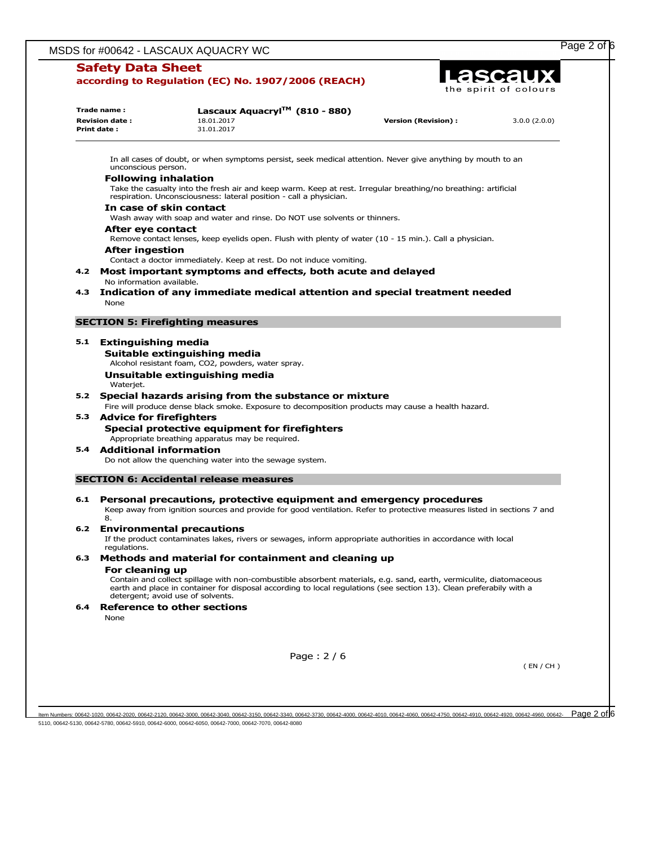## **Safety Data Sheet**

|     | Trade name:<br><b>Revision date:</b><br>Print date: | Lascaux Aquacryl™ (810 - 880)<br>18.01.2017<br>31.01.2017                                                                                                                                                                                                                                                                              | <b>Version (Revision):</b> | 3.0.0(2.0.0) |
|-----|-----------------------------------------------------|----------------------------------------------------------------------------------------------------------------------------------------------------------------------------------------------------------------------------------------------------------------------------------------------------------------------------------------|----------------------------|--------------|
|     | unconscious person.                                 | In all cases of doubt, or when symptoms persist, seek medical attention. Never give anything by mouth to an                                                                                                                                                                                                                            |                            |              |
|     | <b>Following inhalation</b>                         | Take the casualty into the fresh air and keep warm. Keep at rest. Irregular breathing/no breathing: artificial<br>respiration. Unconsciousness: lateral position - call a physician.                                                                                                                                                   |                            |              |
|     | In case of skin contact                             | Wash away with soap and water and rinse. Do NOT use solvents or thinners.                                                                                                                                                                                                                                                              |                            |              |
|     | After eye contact<br>After ingestion                | Remove contact lenses, keep eyelids open. Flush with plenty of water (10 - 15 min.). Call a physician.                                                                                                                                                                                                                                 |                            |              |
|     | No information available.                           | Contact a doctor immediately. Keep at rest. Do not induce vomiting.<br>4.2 Most important symptoms and effects, both acute and delayed                                                                                                                                                                                                 |                            |              |
| 4.3 | None                                                | Indication of any immediate medical attention and special treatment needed                                                                                                                                                                                                                                                             |                            |              |
|     |                                                     | <b>SECTION 5: Firefighting measures</b>                                                                                                                                                                                                                                                                                                |                            |              |
|     | 5.1 Extinguishing media<br>Waterjet.                | Suitable extinguishing media<br>Alcohol resistant foam, CO2, powders, water spray.<br>Unsuitable extinguishing media                                                                                                                                                                                                                   |                            |              |
|     |                                                     | 5.2 Special hazards arising from the substance or mixture<br>Fire will produce dense black smoke. Exposure to decomposition products may cause a health hazard.                                                                                                                                                                        |                            |              |
|     | 5.3 Advice for firefighters                         | Special protective equipment for firefighters<br>Appropriate breathing apparatus may be required.                                                                                                                                                                                                                                      |                            |              |
| 5.4 | Additional information                              | Do not allow the quenching water into the sewage system.                                                                                                                                                                                                                                                                               |                            |              |
|     |                                                     | <b>SECTION 6: Accidental release measures</b>                                                                                                                                                                                                                                                                                          |                            |              |
| 6.1 | 8.                                                  | Personal precautions, protective equipment and emergency procedures<br>Keep away from ignition sources and provide for good ventilation. Refer to protective measures listed in sections 7 and                                                                                                                                         |                            |              |
| 6.2 | requlations.                                        | <b>Environmental precautions</b><br>If the product contaminates lakes, rivers or sewages, inform appropriate authorities in accordance with local                                                                                                                                                                                      |                            |              |
| 6.3 | For cleaning up                                     | Methods and material for containment and cleaning up<br>Contain and collect spillage with non-combustible absorbent materials, e.g. sand, earth, vermiculite, diatomaceous<br>earth and place in container for disposal according to local regulations (see section 13). Clean preferabily with a<br>detergent; avoid use of solvents. |                            |              |
| 6.4 | None                                                | <b>Reference to other sections</b>                                                                                                                                                                                                                                                                                                     |                            |              |
|     |                                                     | Page: $2/6$                                                                                                                                                                                                                                                                                                                            |                            |              |
|     |                                                     |                                                                                                                                                                                                                                                                                                                                        |                            | (EN/CH)      |

ltem Numbers: 00642-1020, 00642-2020, 00642-2120, 00642-3000, 00642-3040, 00642-3150, 00642-3730, 00642-4040, 00642-4010, 00642-4050, 00642-4010, 00642-4010, 00642-4010, 00642-4910, 00642-4920, 00642-4920, 00642-4950, 0064 5110, 00642-5130, 00642-5780, 00642-5910, 00642-6000, 00642-6050, 00642-7000, 00642-7070, 00642-8080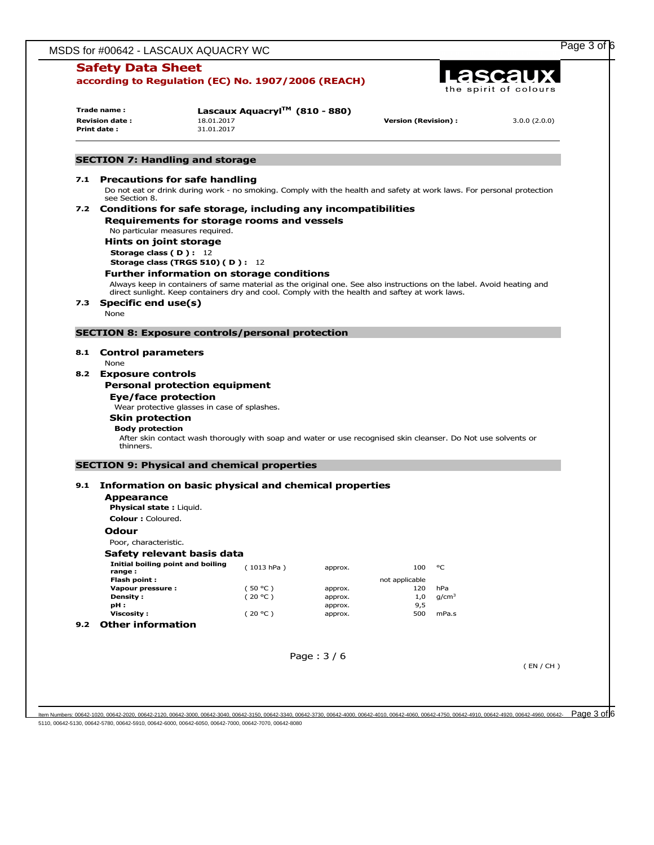|     | <b>Safety Data Sheet</b><br>according to Regulation (EC) No. 1907/2006 (REACH)                                                             |                                              |                                                                                                                                                                                                                         |                               |                                     |                          | ascaux<br>the spirit of colours                                                                                       |  |
|-----|--------------------------------------------------------------------------------------------------------------------------------------------|----------------------------------------------|-------------------------------------------------------------------------------------------------------------------------------------------------------------------------------------------------------------------------|-------------------------------|-------------------------------------|--------------------------|-----------------------------------------------------------------------------------------------------------------------|--|
|     | Trade name:<br><b>Revision date:</b><br>Print date:                                                                                        | 18.01.2017<br>31.01.2017                     | Lascaux Aquacryl <sup>TM</sup> (810 - 880)                                                                                                                                                                              |                               | <b>Version (Revision):</b>          |                          | 3.0.0(2.0.0)                                                                                                          |  |
|     | <b>SECTION 7: Handling and storage</b>                                                                                                     |                                              |                                                                                                                                                                                                                         |                               |                                     |                          |                                                                                                                       |  |
| 7.1 | <b>Precautions for safe handling</b>                                                                                                       |                                              |                                                                                                                                                                                                                         |                               |                                     |                          |                                                                                                                       |  |
|     | see Section 8.                                                                                                                             |                                              |                                                                                                                                                                                                                         |                               |                                     |                          | Do not eat or drink during work - no smoking. Comply with the health and safety at work laws. For personal protection |  |
|     | 7.2 Conditions for safe storage, including any incompatibilities<br>No particular measures required.<br>Hints on joint storage             |                                              | Requirements for storage rooms and vessels                                                                                                                                                                              |                               |                                     |                          |                                                                                                                       |  |
|     | <b>Storage class (D): 12</b>                                                                                                               | Storage class (TRGS 510) (D): 12             |                                                                                                                                                                                                                         |                               |                                     |                          |                                                                                                                       |  |
|     | <b>Further information on storage conditions</b>                                                                                           |                                              | Always keep in containers of same material as the original one. See also instructions on the label. Avoid heating and<br>direct sunlight. Keep containers dry and cool. Comply with the health and saftey at work laws. |                               |                                     |                          |                                                                                                                       |  |
| 7.3 | Specific end use(s)<br>None                                                                                                                |                                              |                                                                                                                                                                                                                         |                               |                                     |                          |                                                                                                                       |  |
|     | <b>SECTION 8: Exposure controls/personal protection</b>                                                                                    |                                              |                                                                                                                                                                                                                         |                               |                                     |                          |                                                                                                                       |  |
| 8.2 | <b>Exposure controls</b>                                                                                                                   |                                              |                                                                                                                                                                                                                         |                               |                                     |                          |                                                                                                                       |  |
|     | <b>Personal protection equipment</b><br>Eye/face protection<br><b>Skin protection</b><br><b>Body protection</b><br>thinners.               | Wear protective glasses in case of splashes. | After skin contact wash thorougly with soap and water or use recognised skin cleanser. Do Not use solvents or                                                                                                           |                               |                                     |                          |                                                                                                                       |  |
|     | <b>SECTION 9: Physical and chemical properties</b>                                                                                         |                                              |                                                                                                                                                                                                                         |                               |                                     |                          |                                                                                                                       |  |
| 9.1 | Information on basic physical and chemical properties<br><b>Appearance</b><br><b>Physical state: Liquid.</b><br>Colour: Coloured.<br>Odour |                                              |                                                                                                                                                                                                                         |                               |                                     |                          |                                                                                                                       |  |
|     | Poor, characteristic.                                                                                                                      |                                              |                                                                                                                                                                                                                         |                               |                                     |                          |                                                                                                                       |  |
|     | Safety relevant basis data<br>Initial boiling point and boiling<br>range:                                                                  |                                              | (1013 hPa)                                                                                                                                                                                                              | approx.                       | 100                                 | °C                       |                                                                                                                       |  |
|     | Flash point:<br>Vapour pressure :<br>Density:<br>pH:                                                                                       |                                              | (50 °C)<br>(20 °C)                                                                                                                                                                                                      | approx.<br>approx.<br>approx. | not applicable<br>120<br>1,0<br>9,5 | hPa<br>g/cm <sup>3</sup> |                                                                                                                       |  |
|     | <b>Viscosity:</b><br>9.2 Other information                                                                                                 |                                              | (20 °C)                                                                                                                                                                                                                 | approx.                       | 500                                 | mPa.s                    |                                                                                                                       |  |

 $\frac{\text{I}1\text{cm}}{\text{N}1\text{m}1\text{m}1\text{m}1\text{m}1\text{m}1\text{m}1\text{m}1\text{m}1\text{m}1\text{m}2\text{m}2\text{m}2\text{m}2\text{m}2\text{m}2\text{m}2\text{m}2\text{m}2\text{m}2\text{m}2\text{m}2\text{m}2\text{m}2\text{m}2\text{m}2\text{m}2\text{m}2\text{m}2\text{m}2\text{m}2\text{m}2\text{m}2\text{m}2\text{$ 5110, 00642-5130, 00642-5780, 00642-5910, 00642-6000, 00642-6050, 00642-7000, 00642-7070, 00642-8080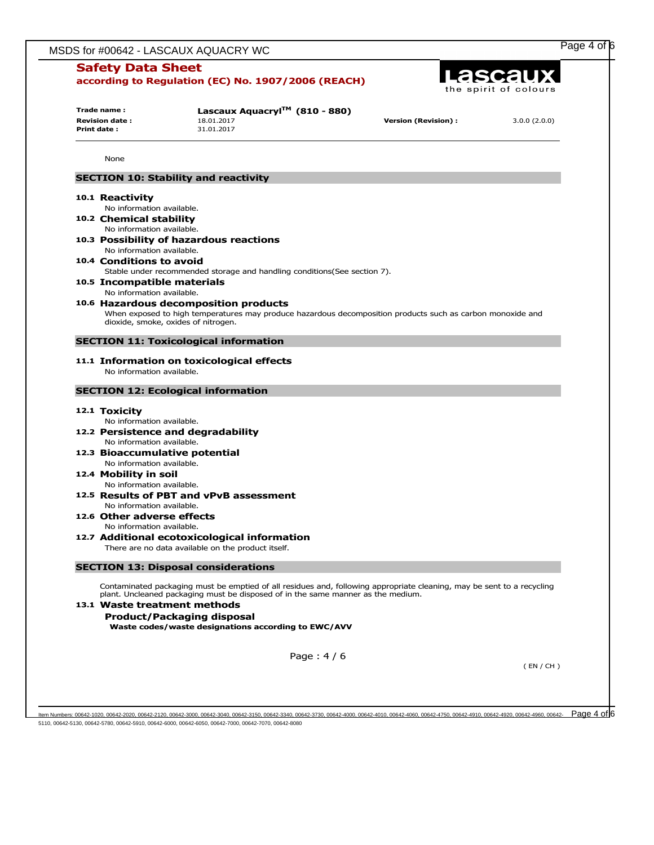|                                                                                                                    |                                                                 | MSDS for #00642 - LASCAUX AQUACRY WC                                                                                   |                            |              |  |
|--------------------------------------------------------------------------------------------------------------------|-----------------------------------------------------------------|------------------------------------------------------------------------------------------------------------------------|----------------------------|--------------|--|
| <b>Safety Data Sheet</b><br>Lascaux<br>according to Regulation (EC) No. 1907/2006 (REACH)<br>the spirit of colours |                                                                 |                                                                                                                        |                            |              |  |
|                                                                                                                    | Trade name:<br><b>Revision date:</b><br>Print date:             | Lascaux Aquacryl <sup>TM</sup> (810 - 880)<br>18.01.2017<br>31.01.2017                                                 | <b>Version (Revision):</b> | 3.0.0(2.0.0) |  |
|                                                                                                                    |                                                                 |                                                                                                                        |                            |              |  |
|                                                                                                                    | None                                                            |                                                                                                                        |                            |              |  |
|                                                                                                                    |                                                                 | <b>SECTION 10: Stability and reactivity</b>                                                                            |                            |              |  |
|                                                                                                                    | 10.1 Reactivity<br>No information available.                    |                                                                                                                        |                            |              |  |
|                                                                                                                    | 10.2 Chemical stability<br>No information available.            |                                                                                                                        |                            |              |  |
|                                                                                                                    | No information available.                                       | 10.3 Possibility of hazardous reactions                                                                                |                            |              |  |
|                                                                                                                    | 10.4 Conditions to avoid                                        | Stable under recommended storage and handling conditions(See section 7).                                               |                            |              |  |
|                                                                                                                    | 10.5 Incompatible materials<br>No information available.        |                                                                                                                        |                            |              |  |
|                                                                                                                    |                                                                 | 10.6 Hazardous decomposition products                                                                                  |                            |              |  |
|                                                                                                                    | dioxide, smoke, oxides of nitrogen.                             | When exposed to high temperatures may produce hazardous decomposition products such as carbon monoxide and             |                            |              |  |
|                                                                                                                    |                                                                 |                                                                                                                        |                            |              |  |
|                                                                                                                    | No information available.                                       | <b>SECTION 11: Toxicological information</b><br>11.1 Information on toxicological effects                              |                            |              |  |
|                                                                                                                    |                                                                 | <b>SECTION 12: Ecological information</b>                                                                              |                            |              |  |
|                                                                                                                    | 12.1 Toxicity<br>No information available.                      |                                                                                                                        |                            |              |  |
|                                                                                                                    | 12.2 Persistence and degradability<br>No information available. |                                                                                                                        |                            |              |  |
|                                                                                                                    | 12.3 Bioaccumulative potential                                  |                                                                                                                        |                            |              |  |
|                                                                                                                    | No information available.<br>12.4 Mobility in soil              |                                                                                                                        |                            |              |  |
|                                                                                                                    | No information available.                                       |                                                                                                                        |                            |              |  |
|                                                                                                                    | No information available.                                       | 12.5 Results of PBT and vPvB assessment                                                                                |                            |              |  |
|                                                                                                                    | 12.6 Other adverse effects                                      |                                                                                                                        |                            |              |  |
|                                                                                                                    | No information available.                                       | 12.7 Additional ecotoxicological information<br>There are no data available on the product itself.                     |                            |              |  |
|                                                                                                                    |                                                                 | <b>SECTION 13: Disposal considerations</b>                                                                             |                            |              |  |
|                                                                                                                    |                                                                 | Contaminated packaging must be emptied of all residues and, following appropriate cleaning, may be sent to a recycling |                            |              |  |
|                                                                                                                    | 13.1 Waste treatment methods                                    | plant. Uncleaned packaging must be disposed of in the same manner as the medium.<br><b>Product/Packaging disposal</b>  |                            |              |  |
|                                                                                                                    |                                                                 | Waste codes/waste designations according to EWC/AVV                                                                    |                            |              |  |
|                                                                                                                    |                                                                 | Page: $4/6$                                                                                                            |                            | (EN/CH)      |  |

ltem Numbers: 00642-1020, 00642-2020, 00642-2120, 00642-3000, 00642-3040, 00642-3150, 00642-3730, 00642-4040, 00642-4010, 00642-4050, 00642-4010, 00642-4910, 00642-4920, 00642-4920, 00642-4950, 00642-4970, 00642-4920, 0064 5110, 00642-5130, 00642-5780, 00642-5910, 00642-6000, 00642-6050, 00642-7000, 00642-7070, 00642-8080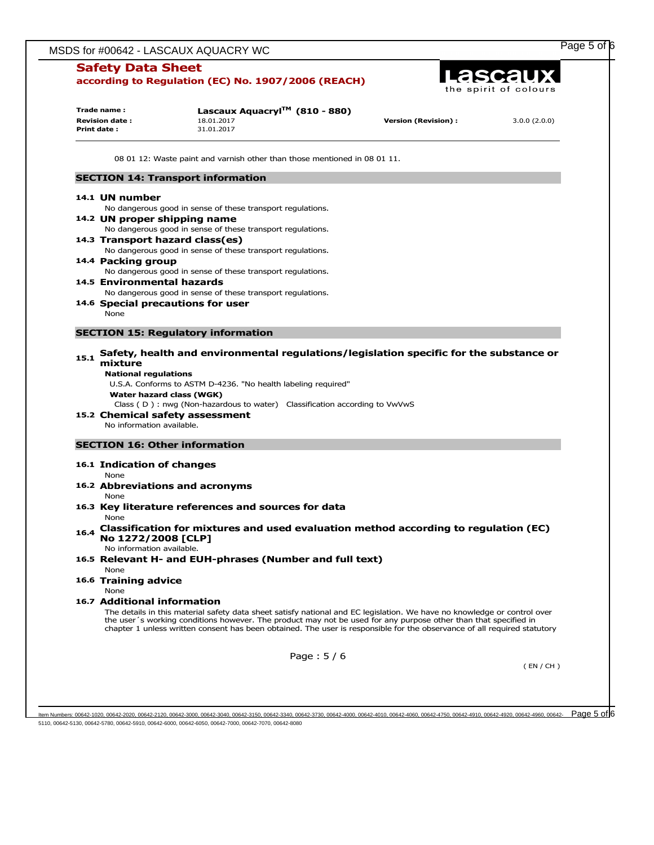| <b>Safety Data Sheet</b><br>Lascaux<br>according to Regulation (EC) No. 1907/2006 (REACH)<br>the spirit of colours |                                                                     |                                                                                                                                                                                                                                                                                                                                                                         |                                                                                        |              |
|--------------------------------------------------------------------------------------------------------------------|---------------------------------------------------------------------|-------------------------------------------------------------------------------------------------------------------------------------------------------------------------------------------------------------------------------------------------------------------------------------------------------------------------------------------------------------------------|----------------------------------------------------------------------------------------|--------------|
|                                                                                                                    | Trade name:<br><b>Revision date:</b><br>Print date:                 | Lascaux Aquacryl <sup>TM</sup> (810 - 880)<br>18.01.2017<br>31.01.2017                                                                                                                                                                                                                                                                                                  | <b>Version (Revision):</b>                                                             | 3.0.0(2.0.0) |
|                                                                                                                    |                                                                     | 08 01 12: Waste paint and varnish other than those mentioned in 08 01 11.                                                                                                                                                                                                                                                                                               |                                                                                        |              |
|                                                                                                                    |                                                                     | <b>SECTION 14: Transport information</b>                                                                                                                                                                                                                                                                                                                                |                                                                                        |              |
|                                                                                                                    | 14.1 UN number                                                      |                                                                                                                                                                                                                                                                                                                                                                         |                                                                                        |              |
|                                                                                                                    |                                                                     | No dangerous good in sense of these transport regulations.<br>14.2 UN proper shipping name<br>No dangerous good in sense of these transport regulations.                                                                                                                                                                                                                |                                                                                        |              |
|                                                                                                                    |                                                                     | 14.3 Transport hazard class(es)<br>No dangerous good in sense of these transport regulations.                                                                                                                                                                                                                                                                           |                                                                                        |              |
|                                                                                                                    | 14.4 Packing group                                                  | No dangerous good in sense of these transport regulations.                                                                                                                                                                                                                                                                                                              |                                                                                        |              |
|                                                                                                                    | 14.5 Environmental hazards                                          | No dangerous good in sense of these transport regulations.                                                                                                                                                                                                                                                                                                              |                                                                                        |              |
|                                                                                                                    | None                                                                | 14.6 Special precautions for user                                                                                                                                                                                                                                                                                                                                       |                                                                                        |              |
|                                                                                                                    |                                                                     | <b>SECTION 15: Regulatory information</b>                                                                                                                                                                                                                                                                                                                               |                                                                                        |              |
|                                                                                                                    |                                                                     |                                                                                                                                                                                                                                                                                                                                                                         | Safety, health and environmental regulations/legislation specific for the substance or |              |
|                                                                                                                    | mixture<br><b>National regulations</b><br>No information available. | U.S.A. Conforms to ASTM D-4236. "No health labeling required"<br>Water hazard class (WGK)<br>Class (D) : nwg (Non-hazardous to water) Classification according to VwVwS<br>15.2 Chemical safety assessment                                                                                                                                                              |                                                                                        |              |
|                                                                                                                    |                                                                     | <b>SECTION 16: Other information</b>                                                                                                                                                                                                                                                                                                                                    |                                                                                        |              |
|                                                                                                                    | 16.1 Indication of changes<br>None                                  |                                                                                                                                                                                                                                                                                                                                                                         |                                                                                        |              |
|                                                                                                                    |                                                                     | 16.2 Abbreviations and acronyms                                                                                                                                                                                                                                                                                                                                         |                                                                                        |              |
|                                                                                                                    | None<br>None                                                        | 16.3 Key literature references and sources for data                                                                                                                                                                                                                                                                                                                     |                                                                                        |              |
| 16.4                                                                                                               | No 1272/2008 [CLP]<br>No information available.                     | Classification for mixtures and used evaluation method according to regulation (EC)                                                                                                                                                                                                                                                                                     |                                                                                        |              |
|                                                                                                                    | None                                                                | 16.5 Relevant H- and EUH-phrases (Number and full text)                                                                                                                                                                                                                                                                                                                 |                                                                                        |              |
|                                                                                                                    | 16.6 Training advice<br>None                                        |                                                                                                                                                                                                                                                                                                                                                                         |                                                                                        |              |
|                                                                                                                    | 16.7 Additional information                                         | The details in this material safety data sheet satisfy national and EC legislation. We have no knowledge or control over<br>the user's working conditions however. The product may not be used for any purpose other than that specified in<br>chapter 1 unless written consent has been obtained. The user is responsible for the observance of all required statutory |                                                                                        |              |
|                                                                                                                    |                                                                     | Page: $5/6$                                                                                                                                                                                                                                                                                                                                                             |                                                                                        |              |

ltem Numbers: 00642-1020, 00642-2020, 00642-2120, 00642-3000, 00642-3040, 00642-3150, 00642-3730, 00642-4040, 00642-4010, 00642-4050, 00642-4010, 00642-4010, 00642-4010, 00642-4910, 00642-4920, 00642-4920, 00642-4950, 0064 5110, 00642-5130, 00642-5780, 00642-5910, 00642-6000, 00642-6050, 00642-7000, 00642-7070, 00642-8080